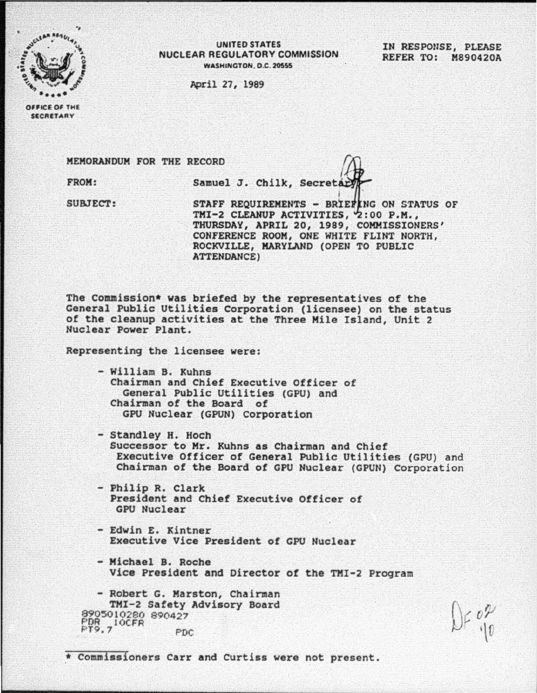

UNITED STATES NUCLEAR REGULATORY COMMISSION WASHINGTON, D.C. 20555

April 27, 1989

IN RESPONSE, PLEASE REFER TO: M890420A

OFFICE OF THE SECRETARY

FROM: Samuel J. Chilk, Secreta MEMORANDUM FOR THE RECORD  $\mathbb{Q}$ 

 $SUBJECT:$  STAFF REQUIREMENTS - BRIEFING ON STATUS OF TMI-2 CLEANUP ACTIVITIES, 2:00 P.M., THURSDAY, APRIL 20, 1989, COMMISSIONERS' CONFERENCE ROOM, ONE WHITE FLINT NORTH, ROCKVILLE, MARYLAND (OPEN TO PUBLIC ATTENDANCE)

The Commission• was briefed by the representatives of the General Public Utilities Corporation (licensee) on the status of the cleanup activities at the Three Mile Island, Unit 2 Nuclear Power Plant.

Representing the licensee were:

- William B. Xuhns Chairman and Chief Executive Officer of General Public Utilities (CPU) and Chairman of the Board of CPU Nuclear (GPUN) corporation
- Standley H. Hoch Successor to Mr. Xuhns as Chairman and Chief Executive Officer of General Public Utilities (GPU) and Chairman of the Board of GPU Nuclear (GPUN) Corporation
- Philip R. Clark President and Chief Executive Officer of CPU Nuclear
- Edwin E. Kintner Executive Vice President of GPU Nuclear
- Michael B. Roche Vice President and Director of the TMI-2 Program

- Robert G. Marston, Chairman TMI-2 Safety Advisory Board 8905010280 890427 PDR 10CFR PDC

\* Commissioners Carr and Curtiss were not present.